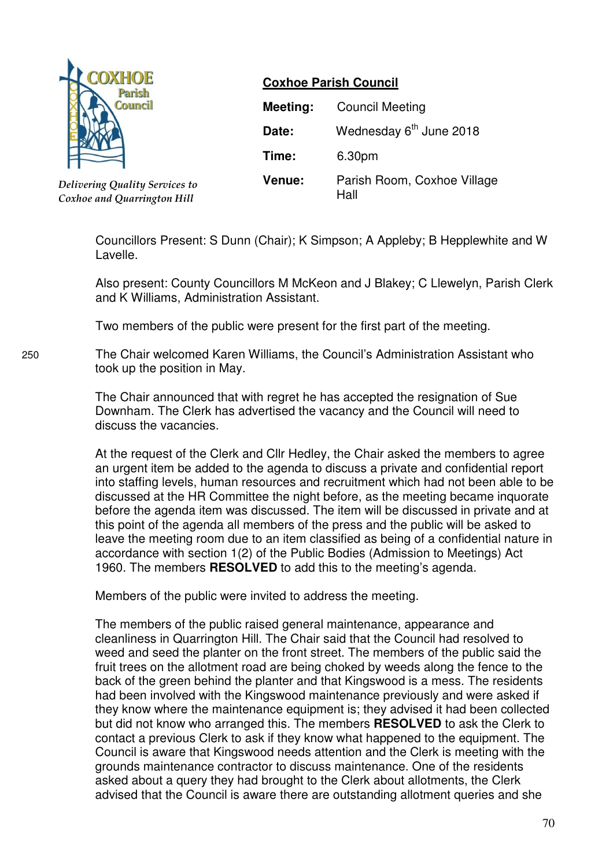

*Delivering Quality Services to Coxhoe and Quarrington Hill*

# **Coxhoe Parish Council**

| Meeting:      | <b>Council Meeting</b>              |
|---------------|-------------------------------------|
| Date:         | Wednesday 6 <sup>th</sup> June 2018 |
| Time:         | 6.30pm                              |
| <b>Venue:</b> | Parish Room, Coxhoe Village<br>Hall |

Councillors Present: S Dunn (Chair); K Simpson; A Appleby; B Hepplewhite and W Lavelle.

Also present: County Councillors M McKeon and J Blakey; C Llewelyn, Parish Clerk and K Williams, Administration Assistant.

Two members of the public were present for the first part of the meeting.

250 The Chair welcomed Karen Williams, the Council's Administration Assistant who took up the position in May.

> The Chair announced that with regret he has accepted the resignation of Sue Downham. The Clerk has advertised the vacancy and the Council will need to discuss the vacancies.

At the request of the Clerk and Cllr Hedley, the Chair asked the members to agree an urgent item be added to the agenda to discuss a private and confidential report into staffing levels, human resources and recruitment which had not been able to be discussed at the HR Committee the night before, as the meeting became inquorate before the agenda item was discussed. The item will be discussed in private and at this point of the agenda all members of the press and the public will be asked to leave the meeting room due to an item classified as being of a confidential nature in accordance with section 1(2) of the Public Bodies (Admission to Meetings) Act 1960. The members **RESOLVED** to add this to the meeting's agenda.

Members of the public were invited to address the meeting.

The members of the public raised general maintenance, appearance and cleanliness in Quarrington Hill. The Chair said that the Council had resolved to weed and seed the planter on the front street. The members of the public said the fruit trees on the allotment road are being choked by weeds along the fence to the back of the green behind the planter and that Kingswood is a mess. The residents had been involved with the Kingswood maintenance previously and were asked if they know where the maintenance equipment is; they advised it had been collected but did not know who arranged this. The members **RESOLVED** to ask the Clerk to contact a previous Clerk to ask if they know what happened to the equipment. The Council is aware that Kingswood needs attention and the Clerk is meeting with the grounds maintenance contractor to discuss maintenance. One of the residents asked about a query they had brought to the Clerk about allotments, the Clerk advised that the Council is aware there are outstanding allotment queries and she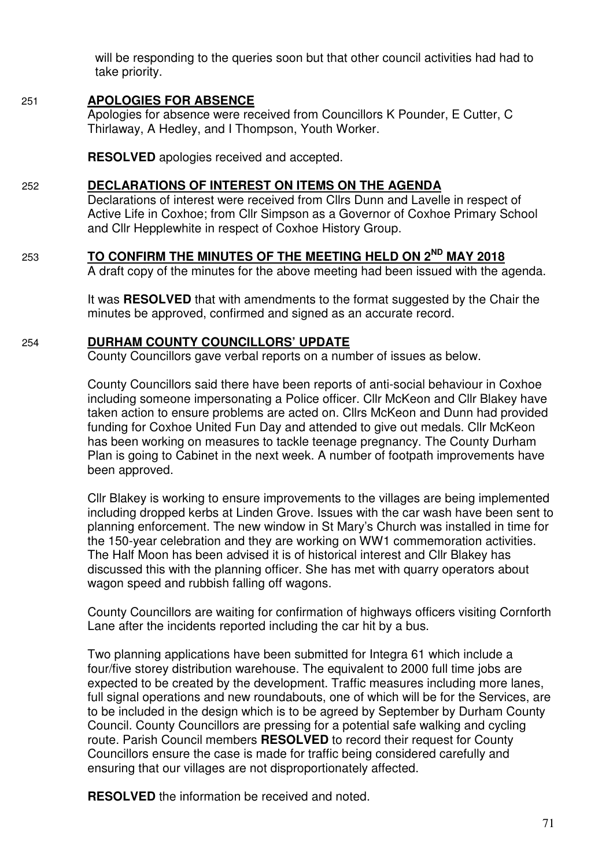will be responding to the queries soon but that other council activities had had to take priority.

### 251 **APOLOGIES FOR ABSENCE**

Apologies for absence were received from Councillors K Pounder, E Cutter, C Thirlaway, A Hedley, and I Thompson, Youth Worker.

**RESOLVED** apologies received and accepted.

### 252 **DECLARATIONS OF INTEREST ON ITEMS ON THE AGENDA**

 Declarations of interest were received from Cllrs Dunn and Lavelle in respect of Active Life in Coxhoe; from Cllr Simpson as a Governor of Coxhoe Primary School and Cllr Hepplewhite in respect of Coxhoe History Group.

### <sup>253</sup>**TO CONFIRM THE MINUTES OF THE MEETING HELD ON 2ND MAY 2018**

A draft copy of the minutes for the above meeting had been issued with the agenda.

 It was **RESOLVED** that with amendments to the format suggested by the Chair the minutes be approved, confirmed and signed as an accurate record.

#### 254 **DURHAM COUNTY COUNCILLORS' UPDATE**

County Councillors gave verbal reports on a number of issues as below.

 County Councillors said there have been reports of anti-social behaviour in Coxhoe including someone impersonating a Police officer. Cllr McKeon and Cllr Blakey have taken action to ensure problems are acted on. Cllrs McKeon and Dunn had provided funding for Coxhoe United Fun Day and attended to give out medals. Cllr McKeon has been working on measures to tackle teenage pregnancy. The County Durham Plan is going to Cabinet in the next week. A number of footpath improvements have been approved.

 Cllr Blakey is working to ensure improvements to the villages are being implemented including dropped kerbs at Linden Grove. Issues with the car wash have been sent to planning enforcement. The new window in St Mary's Church was installed in time for the 150-year celebration and they are working on WW1 commemoration activities. The Half Moon has been advised it is of historical interest and Cllr Blakey has discussed this with the planning officer. She has met with quarry operators about wagon speed and rubbish falling off wagons.

County Councillors are waiting for confirmation of highways officers visiting Cornforth Lane after the incidents reported including the car hit by a bus.

Two planning applications have been submitted for Integra 61 which include a four/five storey distribution warehouse. The equivalent to 2000 full time jobs are expected to be created by the development. Traffic measures including more lanes, full signal operations and new roundabouts, one of which will be for the Services, are to be included in the design which is to be agreed by September by Durham County Council. County Councillors are pressing for a potential safe walking and cycling route. Parish Council members **RESOLVED** to record their request for County Councillors ensure the case is made for traffic being considered carefully and ensuring that our villages are not disproportionately affected.

 **RESOLVED** the information be received and noted.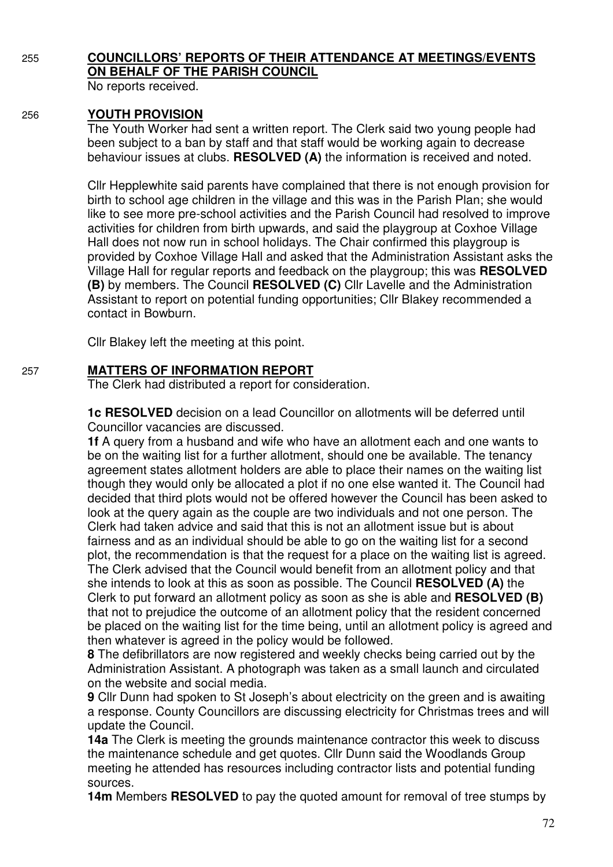# 255 **COUNCILLORS' REPORTS OF THEIR ATTENDANCE AT MEETINGS/EVENTS ON BEHALF OF THE PARISH COUNCIL**

No reports received.

### 256 **YOUTH PROVISION**

 The Youth Worker had sent a written report. The Clerk said two young people had been subject to a ban by staff and that staff would be working again to decrease behaviour issues at clubs. **RESOLVED (A)** the information is received and noted.

Cllr Hepplewhite said parents have complained that there is not enough provision for birth to school age children in the village and this was in the Parish Plan; she would like to see more pre-school activities and the Parish Council had resolved to improve activities for children from birth upwards, and said the playgroup at Coxhoe Village Hall does not now run in school holidays. The Chair confirmed this playgroup is provided by Coxhoe Village Hall and asked that the Administration Assistant asks the Village Hall for regular reports and feedback on the playgroup; this was **RESOLVED (B)** by members. The Council **RESOLVED (C)** Cllr Lavelle and the Administration Assistant to report on potential funding opportunities; Cllr Blakey recommended a contact in Bowburn.

Cllr Blakey left the meeting at this point.

### 257 **MATTERS OF INFORMATION REPORT**

The Clerk had distributed a report for consideration.

 **1c RESOLVED** decision on a lead Councillor on allotments will be deferred until Councillor vacancies are discussed.

**1f** A query from a husband and wife who have an allotment each and one wants to be on the waiting list for a further allotment, should one be available. The tenancy agreement states allotment holders are able to place their names on the waiting list though they would only be allocated a plot if no one else wanted it. The Council had decided that third plots would not be offered however the Council has been asked to look at the query again as the couple are two individuals and not one person. The Clerk had taken advice and said that this is not an allotment issue but is about fairness and as an individual should be able to go on the waiting list for a second plot, the recommendation is that the request for a place on the waiting list is agreed. The Clerk advised that the Council would benefit from an allotment policy and that she intends to look at this as soon as possible. The Council **RESOLVED (A)** the Clerk to put forward an allotment policy as soon as she is able and **RESOLVED (B)**  that not to prejudice the outcome of an allotment policy that the resident concerned be placed on the waiting list for the time being, until an allotment policy is agreed and then whatever is agreed in the policy would be followed.

**8** The defibrillators are now registered and weekly checks being carried out by the Administration Assistant. A photograph was taken as a small launch and circulated on the website and social media.

**9** Cllr Dunn had spoken to St Joseph's about electricity on the green and is awaiting a response. County Councillors are discussing electricity for Christmas trees and will update the Council.

**14a** The Clerk is meeting the grounds maintenance contractor this week to discuss the maintenance schedule and get quotes. Cllr Dunn said the Woodlands Group meeting he attended has resources including contractor lists and potential funding sources.

**14m** Members **RESOLVED** to pay the quoted amount for removal of tree stumps by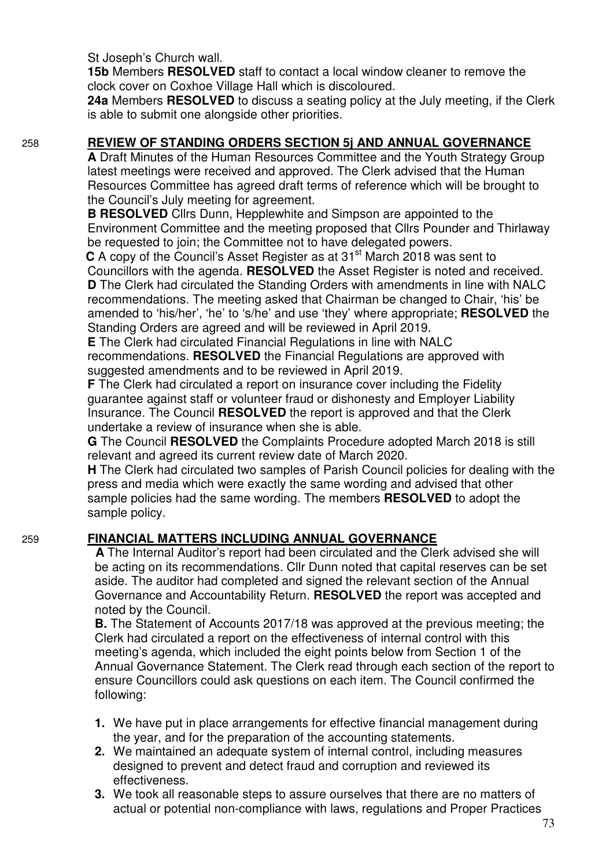St Joseph's Church wall.

**15b** Members **RESOLVED** staff to contact a local window cleaner to remove the clock cover on Coxhoe Village Hall which is discoloured.

**24a** Members **RESOLVED** to discuss a seating policy at the July meeting, if the Clerk is able to submit one alongside other priorities.

#### 258 **REVIEW OF STANDING ORDERS SECTION 5j AND ANNUAL GOVERNANCE**

**A** Draft Minutes of the Human Resources Committee and the Youth Strategy Group latest meetings were received and approved. The Clerk advised that the Human Resources Committee has agreed draft terms of reference which will be brought to the Council's July meeting for agreement.

 **B RESOLVED** Cllrs Dunn, Hepplewhite and Simpson are appointed to the Environment Committee and the meeting proposed that Cllrs Pounder and Thirlaway be requested to join; the Committee not to have delegated powers.

**C** A copy of the Council's Asset Register as at 31<sup>st</sup> March 2018 was sent to Councillors with the agenda. **RESOLVED** the Asset Register is noted and received.  **D** The Clerk had circulated the Standing Orders with amendments in line with NALC recommendations. The meeting asked that Chairman be changed to Chair, 'his' be amended to 'his/her', 'he' to 's/he' and use 'they' where appropriate; **RESOLVED** the Standing Orders are agreed and will be reviewed in April 2019.

**E** The Clerk had circulated Financial Regulations in line with NALC recommendations. **RESOLVED** the Financial Regulations are approved with suggested amendments and to be reviewed in April 2019.

**F** The Clerk had circulated a report on insurance cover including the Fidelity guarantee against staff or volunteer fraud or dishonesty and Employer Liability Insurance. The Council **RESOLVED** the report is approved and that the Clerk undertake a review of insurance when she is able.

**G** The Council **RESOLVED** the Complaints Procedure adopted March 2018 is still relevant and agreed its current review date of March 2020.

 **H** The Clerk had circulated two samples of Parish Council policies for dealing with the press and media which were exactly the same wording and advised that other sample policies had the same wording. The members **RESOLVED** to adopt the sample policy.

# 259 **FINANCIAL MATTERS INCLUDING ANNUAL GOVERNANCE**

 **A** The Internal Auditor's report had been circulated and the Clerk advised she will be acting on its recommendations. Cllr Dunn noted that capital reserves can be set aside. The auditor had completed and signed the relevant section of the Annual Governance and Accountability Return. **RESOLVED** the report was accepted and noted by the Council.

**B.** The Statement of Accounts 2017/18 was approved at the previous meeting; the Clerk had circulated a report on the effectiveness of internal control with this meeting's agenda, which included the eight points below from Section 1 of the Annual Governance Statement. The Clerk read through each section of the report to ensure Councillors could ask questions on each item. The Council confirmed the following:

- **1.** We have put in place arrangements for effective financial management during the year, and for the preparation of the accounting statements.
- **2.** We maintained an adequate system of internal control, including measures designed to prevent and detect fraud and corruption and reviewed its effectiveness.
- **3.** We took all reasonable steps to assure ourselves that there are no matters of actual or potential non-compliance with laws, regulations and Proper Practices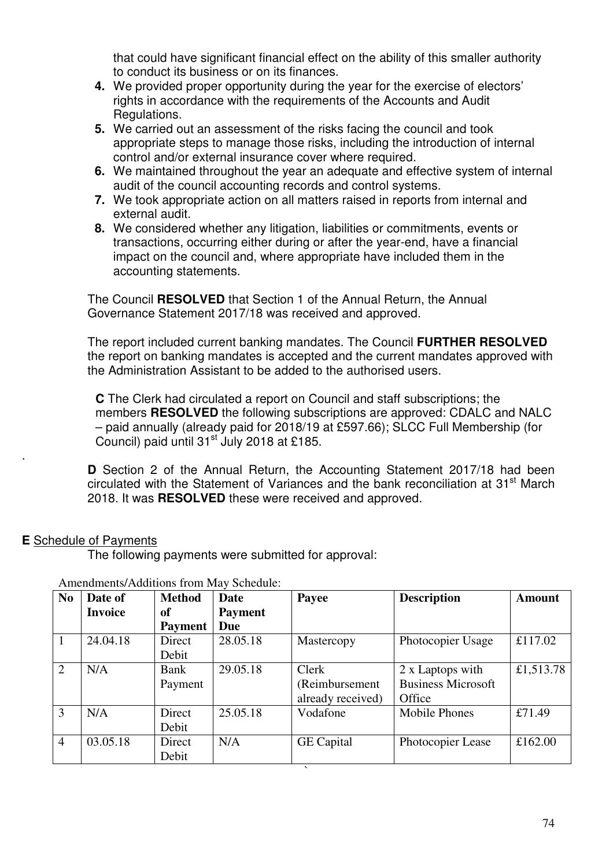that could have significant financial effect on the ability of this smaller authority to conduct its business or on its finances.

- **4.** We provided proper opportunity during the year for the exercise of electors' rights in accordance with the requirements of the Accounts and Audit Regulations.
- **5.** We carried out an assessment of the risks facing the council and took appropriate steps to manage those risks, including the introduction of internal control and/or external insurance cover where required.
- **6.** We maintained throughout the year an adequate and effective system of internal audit of the council accounting records and control systems.
- **7.** We took appropriate action on all matters raised in reports from internal and external audit.
- **8.** We considered whether any litigation, liabilities or commitments, events or transactions, occurring either during or after the year-end, have a financial impact on the council and, where appropriate have included them in the accounting statements.

The Council **RESOLVED** that Section 1 of the Annual Return, the Annual Governance Statement 2017/18 was received and approved.

 The report included current banking mandates. The Council **FURTHER RESOLVED** the report on banking mandates is accepted and the current mandates approved with the Administration Assistant to be added to the authorised users.

**C** The Clerk had circulated a report on Council and staff subscriptions; the members **RESOLVED** the following subscriptions are approved: CDALC and NALC – paid annually (already paid for 2018/19 at £597.66); SLCC Full Membership (for Council) paid until  $31<sup>st</sup>$  July 2018 at £185.

 **D** Section 2 of the Annual Return, the Accounting Statement 2017/18 had been circulated with the Statement of Variances and the bank reconciliation at 31<sup>st</sup> March 2018. It was **RESOLVED** these were received and approved.

# **E** Schedule of Payments

.

The following payments were submitted for approval:

| N <sub>0</sub> | Date of        | <b>Method</b>  | Date           | Payee                    | <b>Description</b>        | <b>Amount</b> |
|----------------|----------------|----------------|----------------|--------------------------|---------------------------|---------------|
|                | <b>Invoice</b> | of             | <b>Payment</b> |                          |                           |               |
|                |                | <b>Payment</b> | <b>Due</b>     |                          |                           |               |
| $\mathbf{1}$   | 24.04.18       | Direct         | 28.05.18       | Mastercopy               | Photocopier Usage         | £117.02       |
|                |                | Debit          |                |                          |                           |               |
| 2              | N/A            | Bank           | 29.05.18       | Clerk                    | 2 x Laptops with          | £1,513.78     |
|                |                | Payment        |                | (Reimbursement           | <b>Business Microsoft</b> |               |
|                |                |                |                | already received)        | Office                    |               |
| 3              | N/A            | Direct         | 25.05.18       | Vodafone                 | <b>Mobile Phones</b>      | £71.49        |
|                |                | Debit          |                |                          |                           |               |
| $\overline{4}$ | 03.05.18       | Direct         | N/A            | <b>GE</b> Capital        | Photocopier Lease         | £162.00       |
|                |                | Debit          |                |                          |                           |               |
|                |                |                |                | $\overline{\phantom{0}}$ |                           |               |

#### Amendments/Additions from May Schedule: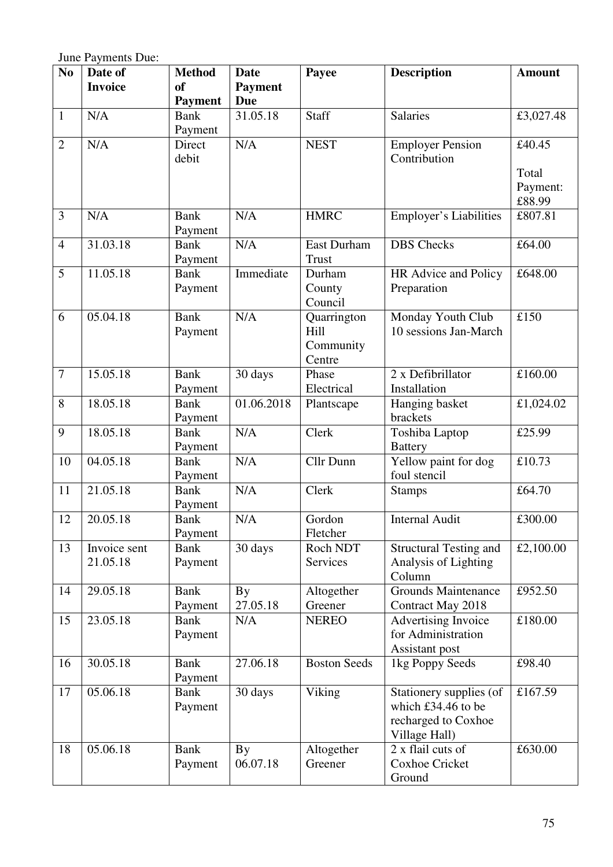June Payments Due:

| N <sub>0</sub> | Date of                  | <b>Method</b>          | <b>Date</b>    | Payee               | <b>Description</b>                 | <b>Amount</b>      |
|----------------|--------------------------|------------------------|----------------|---------------------|------------------------------------|--------------------|
|                | <b>Invoice</b>           | <sub>of</sub>          | <b>Payment</b> |                     |                                    |                    |
|                |                          | <b>Payment</b>         | <b>Due</b>     |                     |                                    |                    |
| $\mathbf{1}$   | N/A                      | <b>Bank</b>            | 31.05.18       | Staff               | <b>Salaries</b>                    | £3,027.48          |
|                |                          | Payment                |                |                     |                                    |                    |
| $\overline{2}$ | N/A                      | Direct                 | N/A            | <b>NEST</b>         | <b>Employer Pension</b>            | £40.45             |
|                |                          | debit                  |                |                     | Contribution                       |                    |
|                |                          |                        |                |                     |                                    | Total              |
|                |                          |                        |                |                     |                                    | Payment:<br>£88.99 |
| $\overline{3}$ | N/A                      | <b>Bank</b>            | N/A            | <b>HMRC</b>         | <b>Employer's Liabilities</b>      | £807.81            |
|                |                          | Payment                |                |                     |                                    |                    |
| $\overline{4}$ | 31.03.18                 | <b>Bank</b>            | N/A            | <b>East Durham</b>  | <b>DBS</b> Checks                  | £64.00             |
|                |                          | Payment                |                | <b>Trust</b>        |                                    |                    |
| 5              | 11.05.18                 | <b>Bank</b>            | Immediate      | Durham              | HR Advice and Policy               | £648.00            |
|                |                          | Payment                |                | County              | Preparation                        |                    |
|                |                          |                        |                | Council             |                                    |                    |
| 6              | 05.04.18                 | <b>Bank</b>            | N/A            | Quarrington         | Monday Youth Club                  | £150               |
|                |                          | Payment                |                | Hill                | 10 sessions Jan-March              |                    |
|                |                          |                        |                | Community           |                                    |                    |
|                |                          |                        |                | Centre              |                                    |                    |
| $\overline{7}$ | 15.05.18                 | <b>Bank</b>            | 30 days        | Phase               | 2 x Defibrillator                  | £160.00            |
| 8              | 18.05.18                 | Payment<br><b>Bank</b> | 01.06.2018     | Electrical          | Installation                       |                    |
|                |                          | Payment                |                | Plantscape          | Hanging basket<br>brackets         | £1,024.02          |
| 9              | 18.05.18                 | <b>Bank</b>            | N/A            | Clerk               | Toshiba Laptop                     | £25.99             |
|                |                          | Payment                |                |                     | <b>Battery</b>                     |                    |
| 10             | 04.05.18                 | <b>Bank</b>            | N/A            | Cllr Dunn           | Yellow paint for dog               | £10.73             |
|                |                          | Payment                |                |                     | foul stencil                       |                    |
| 11             | 21.05.18                 | <b>Bank</b>            | N/A            | Clerk               | <b>Stamps</b>                      | £64.70             |
|                |                          | Payment                |                |                     |                                    |                    |
| 12             | 20.05.18                 | <b>Bank</b>            | N/A            | Gordon              | <b>Internal Audit</b>              | £300.00            |
|                |                          | Payment                |                | Fletcher            |                                    |                    |
| 13             | Invoice sent<br>21.05.18 | <b>Bank</b>            | 30 days        | Roch NDT            | <b>Structural Testing and</b>      | £2,100.00          |
|                |                          | Payment                |                | Services            | Analysis of Lighting<br>Column     |                    |
| 14             | 29.05.18                 | <b>Bank</b>            | By             | Altogether          | <b>Grounds Maintenance</b>         | £952.50            |
|                |                          | Payment                | 27.05.18       | Greener             | Contract May 2018                  |                    |
| 15             | 23.05.18                 | <b>Bank</b>            | N/A            | <b>NEREO</b>        | <b>Advertising Invoice</b>         | £180.00            |
|                |                          | Payment                |                |                     | for Administration                 |                    |
|                |                          |                        |                |                     | Assistant post                     |                    |
| 16             | 30.05.18                 | <b>Bank</b>            | 27.06.18       | <b>Boston Seeds</b> | 1kg Poppy Seeds                    | £98.40             |
|                |                          | Payment                |                |                     |                                    |                    |
| 17             | 05.06.18                 | <b>Bank</b>            | 30 days        | Viking              | Stationery supplies (of            | £167.59            |
|                |                          | Payment                |                |                     | which £34.46 to be                 |                    |
|                |                          |                        |                |                     | recharged to Coxhoe                |                    |
| 18             | 05.06.18                 | <b>Bank</b>            | <b>By</b>      | Altogether          | Village Hall)<br>2 x flail cuts of | £630.00            |
|                |                          | Payment                | 06.07.18       | Greener             | <b>Coxhoe Cricket</b>              |                    |
|                |                          |                        |                |                     | Ground                             |                    |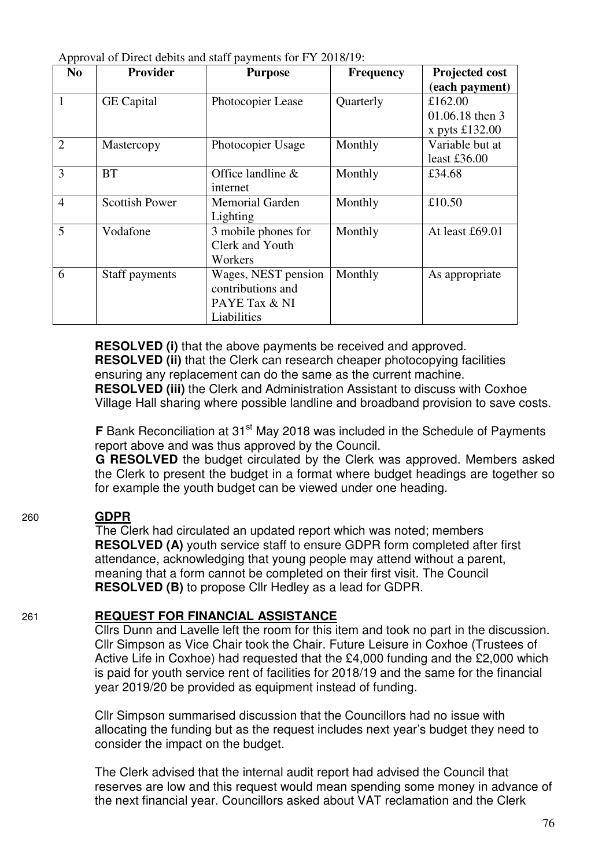| $\mathbf{r}$<br>N <sub>0</sub> | <b>Provider</b>       | <b>Purpose</b>         | <b>Frequency</b> | Projected cost   |
|--------------------------------|-----------------------|------------------------|------------------|------------------|
|                                |                       |                        |                  | (each payment)   |
|                                | <b>GE</b> Capital     | Photocopier Lease      | Quarterly        | £162.00          |
|                                |                       |                        |                  | 01.06.18 then 3  |
|                                |                       |                        |                  | x pyts $£132.00$ |
| $\overline{2}$                 | Mastercopy            | Photocopier Usage      | Monthly          | Variable but at  |
|                                |                       |                        |                  | least $£36.00$   |
| 3                              | <b>BT</b>             | Office landline $\&$   | Monthly          | £34.68           |
|                                |                       | internet               |                  |                  |
| $\overline{4}$                 | <b>Scottish Power</b> | <b>Memorial Garden</b> | Monthly          | £10.50           |
|                                |                       | Lighting               |                  |                  |
| 5                              | Vodafone              | 3 mobile phones for    | Monthly          | At least £69.01  |
|                                |                       | Clerk and Youth        |                  |                  |
|                                |                       | Workers                |                  |                  |
| 6                              | Staff payments        | Wages, NEST pension    | Monthly          | As appropriate   |
|                                |                       | contributions and      |                  |                  |
|                                |                       | PAYE Tax & NI          |                  |                  |
|                                |                       | Liabilities            |                  |                  |

Approval of Direct debits and staff payments for FY 2018/19:

**RESOLVED (i)** that the above payments be received and approved. **RESOLVED (ii)** that the Clerk can research cheaper photocopying facilities ensuring any replacement can do the same as the current machine. **RESOLVED (iii)** the Clerk and Administration Assistant to discuss with Coxhoe Village Hall sharing where possible landline and broadband provision to save costs.

**F** Bank Reconciliation at 31<sup>st</sup> May 2018 was included in the Schedule of Payments report above and was thus approved by the Council.

**G RESOLVED** the budget circulated by the Clerk was approved. Members asked the Clerk to present the budget in a format where budget headings are together so for example the youth budget can be viewed under one heading.

#### 260 **GDPR**

 The Clerk had circulated an updated report which was noted; members **RESOLVED (A)** youth service staff to ensure GDPR form completed after first attendance, acknowledging that young people may attend without a parent, meaning that a form cannot be completed on their first visit. The Council **RESOLVED (B)** to propose Cllr Hedley as a lead for GDPR.

#### 261 **REQUEST FOR FINANCIAL ASSISTANCE**

 Cllrs Dunn and Lavelle left the room for this item and took no part in the discussion. Cllr Simpson as Vice Chair took the Chair. Future Leisure in Coxhoe (Trustees of Active Life in Coxhoe) had requested that the £4,000 funding and the £2,000 which is paid for youth service rent of facilities for 2018/19 and the same for the financial year 2019/20 be provided as equipment instead of funding.

 Cllr Simpson summarised discussion that the Councillors had no issue with allocating the funding but as the request includes next year's budget they need to consider the impact on the budget.

The Clerk advised that the internal audit report had advised the Council that reserves are low and this request would mean spending some money in advance of the next financial year. Councillors asked about VAT reclamation and the Clerk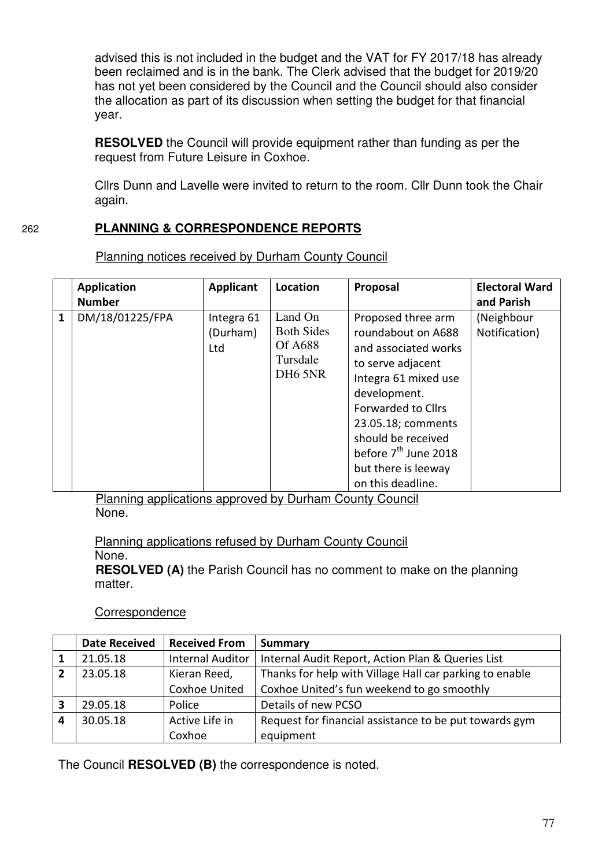advised this is not included in the budget and the VAT for FY 2017/18 has already been reclaimed and is in the bank. The Clerk advised that the budget for 2019/20 has not yet been considered by the Council and the Council should also consider the allocation as part of its discussion when setting the budget for that financial year.

**RESOLVED** the Council will provide equipment rather than funding as per the request from Future Leisure in Coxhoe.

 Cllrs Dunn and Lavelle were invited to return to the room. Cllr Dunn took the Chair again.

# 262 **PLANNING & CORRESPONDENCE REPORTS**

**Application Number**  Applicant Location | Proposal | Electoral Ward **and Parish 1** DM/18/01225/FPA | Integra 61 (Durham) Ltd Land On Both Sides Of A688 Tursdale DH6 5NR Proposed three arm roundabout on A688 and associated works to serve adjacent Integra 61 mixed use development. Forwarded to Cllrs 23.05.18; comments should be received before 7<sup>th</sup> June 2018 but there is leeway on this deadline. (Neighbour Notification)

Planning notices received by Durham County Council

Planning applications approved by Durham County Council None.

 Planning applications refused by Durham County Council None.

**RESOLVED (A)** the Parish Council has no comment to make on the planning matter.

#### **Correspondence**

|   | <b>Date Received</b> | <b>Received From</b>    | Summary                                                 |
|---|----------------------|-------------------------|---------------------------------------------------------|
|   | 21.05.18             | <b>Internal Auditor</b> | Internal Audit Report, Action Plan & Queries List       |
|   | 23.05.18             | Kieran Reed,            | Thanks for help with Village Hall car parking to enable |
|   |                      | <b>Coxhoe United</b>    | Coxhoe United's fun weekend to go smoothly              |
| 3 | 29.05.18             | Police                  | Details of new PCSO                                     |
| 4 | 30.05.18             | Active Life in          | Request for financial assistance to be put towards gym  |
|   |                      | Coxhoe                  | equipment                                               |

The Council **RESOLVED (B)** the correspondence is noted.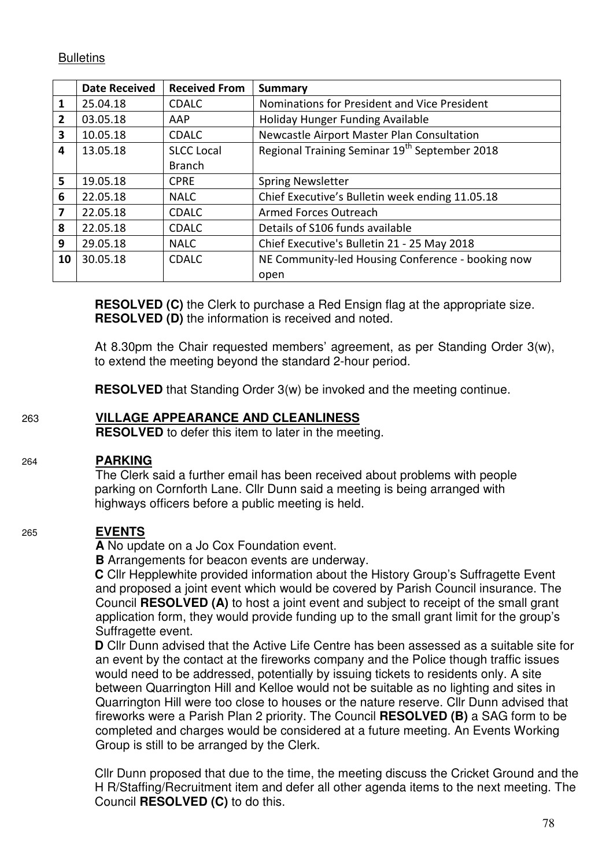# **Bulletins**

|                 | <b>Date Received</b> | <b>Received From</b> | <b>Summary</b>                                            |
|-----------------|----------------------|----------------------|-----------------------------------------------------------|
| 1               | 25.04.18             | <b>CDALC</b>         | Nominations for President and Vice President              |
| $\overline{2}$  | 03.05.18             | AAP                  | Holiday Hunger Funding Available                          |
| 3               | 10.05.18             | <b>CDALC</b>         | Newcastle Airport Master Plan Consultation                |
| 4               | 13.05.18             | <b>SLCC Local</b>    | Regional Training Seminar 19 <sup>th</sup> September 2018 |
|                 |                      | <b>Branch</b>        |                                                           |
| $5\overline{5}$ | 19.05.18             | <b>CPRE</b>          | <b>Spring Newsletter</b>                                  |
| 6               | 22.05.18             | <b>NALC</b>          | Chief Executive's Bulletin week ending 11.05.18           |
| $\mathbf{7}$    | 22.05.18             | <b>CDALC</b>         | Armed Forces Outreach                                     |
| 8               | 22.05.18             | <b>CDALC</b>         | Details of S106 funds available                           |
| 9               | 29.05.18             | <b>NALC</b>          | Chief Executive's Bulletin 21 - 25 May 2018               |
| 10              | 30.05.18             | <b>CDALC</b>         | NE Community-led Housing Conference - booking now         |
|                 |                      |                      | open                                                      |

**RESOLVED (C)** the Clerk to purchase a Red Ensign flag at the appropriate size. **RESOLVED (D)** the information is received and noted.

At 8.30pm the Chair requested members' agreement, as per Standing Order 3(w), to extend the meeting beyond the standard 2-hour period.

**RESOLVED** that Standing Order 3(w) be invoked and the meeting continue.

# 263 **VILLAGE APPEARANCE AND CLEANLINESS**

**RESOLVED** to defer this item to later in the meeting.

# 264 **PARKING**

 The Clerk said a further email has been received about problems with people parking on Cornforth Lane. Cllr Dunn said a meeting is being arranged with highways officers before a public meeting is held.

# 265 **EVENTS**

**A** No update on a Jo Cox Foundation event.

**B** Arrangements for beacon events are underway.

**C** Cllr Hepplewhite provided information about the History Group's Suffragette Event and proposed a joint event which would be covered by Parish Council insurance. The Council **RESOLVED (A)** to host a joint event and subject to receipt of the small grant application form, they would provide funding up to the small grant limit for the group's Suffragette event.

**D** Cllr Dunn advised that the Active Life Centre has been assessed as a suitable site for an event by the contact at the fireworks company and the Police though traffic issues would need to be addressed, potentially by issuing tickets to residents only. A site between Quarrington Hill and Kelloe would not be suitable as no lighting and sites in Quarrington Hill were too close to houses or the nature reserve. Cllr Dunn advised that fireworks were a Parish Plan 2 priority. The Council **RESOLVED (B)** a SAG form to be completed and charges would be considered at a future meeting. An Events Working Group is still to be arranged by the Clerk.

 Cllr Dunn proposed that due to the time, the meeting discuss the Cricket Ground and the H R/Staffing/Recruitment item and defer all other agenda items to the next meeting. The Council **RESOLVED (C)** to do this.